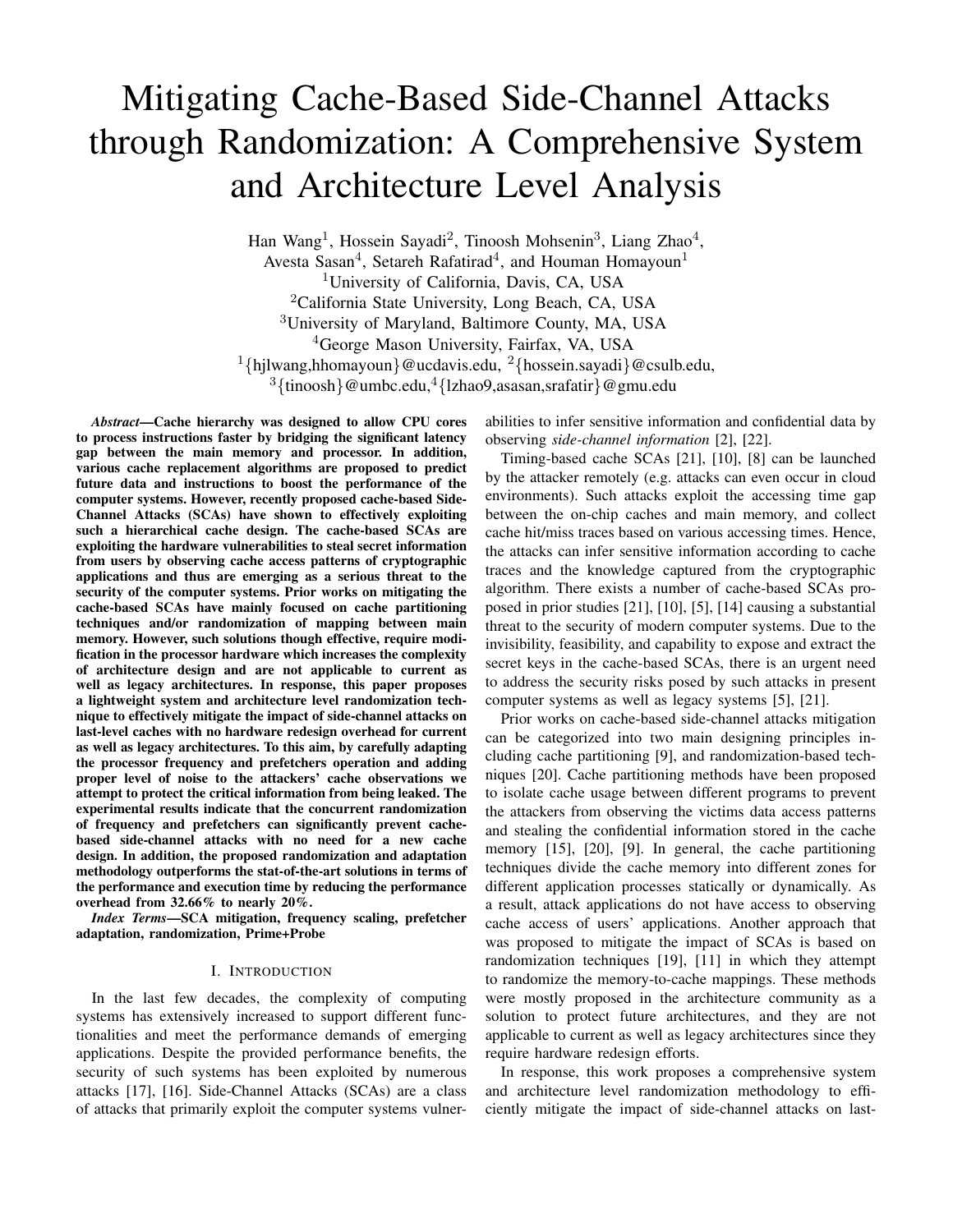# Mitigating Cache-Based Side-Channel Attacks through Randomization: A Comprehensive System and Architecture Level Analysis

Han Wang<sup>1</sup>, Hossein Sayadi<sup>2</sup>, Tinoosh Mohsenin<sup>3</sup>, Liang Zhao<sup>4</sup>,

Avesta Sasan<sup>4</sup>, Setareh Rafatirad<sup>4</sup>, and Houman Homayoun<sup>1</sup>

<sup>1</sup>University of California, Davis, CA, USA

<sup>2</sup>California State University, Long Beach, CA, USA

<sup>3</sup>University of Maryland, Baltimore County, MA, USA

<sup>4</sup>George Mason University, Fairfax, VA, USA

<sup>1</sup>{hjlwang,hhomayoun}@ucdavis.edu, <sup>2</sup>{hossein.sayadi}@csulb.edu,

 $3\{\text{tinosh}\}\&$ umbc.edu, $\frac{4}{\{\text{lzhao9}, \text{asasan}, \text{srafatir}\}\&$ gmu.edu

*Abstract*—Cache hierarchy was designed to allow CPU cores to process instructions faster by bridging the significant latency gap between the main memory and processor. In addition, various cache replacement algorithms are proposed to predict future data and instructions to boost the performance of the computer systems. However, recently proposed cache-based Side-Channel Attacks (SCAs) have shown to effectively exploiting such a hierarchical cache design. The cache-based SCAs are exploiting the hardware vulnerabilities to steal secret information from users by observing cache access patterns of cryptographic applications and thus are emerging as a serious threat to the security of the computer systems. Prior works on mitigating the cache-based SCAs have mainly focused on cache partitioning techniques and/or randomization of mapping between main memory. However, such solutions though effective, require modification in the processor hardware which increases the complexity of architecture design and are not applicable to current as well as legacy architectures. In response, this paper proposes a lightweight system and architecture level randomization technique to effectively mitigate the impact of side-channel attacks on last-level caches with no hardware redesign overhead for current as well as legacy architectures. To this aim, by carefully adapting the processor frequency and prefetchers operation and adding proper level of noise to the attackers' cache observations we attempt to protect the critical information from being leaked. The experimental results indicate that the concurrent randomization of frequency and prefetchers can significantly prevent cachebased side-channel attacks with no need for a new cache design. In addition, the proposed randomization and adaptation methodology outperforms the stat-of-the-art solutions in terms of the performance and execution time by reducing the performance overhead from 32.66% to nearly 20%.

*Index Terms*—SCA mitigation, frequency scaling, prefetcher adaptation, randomization, Prime+Probe

#### I. INTRODUCTION

In the last few decades, the complexity of computing systems has extensively increased to support different functionalities and meet the performance demands of emerging applications. Despite the provided performance benefits, the security of such systems has been exploited by numerous attacks [17], [16]. Side-Channel Attacks (SCAs) are a class of attacks that primarily exploit the computer systems vulnerabilities to infer sensitive information and confidential data by observing *side-channel information* [2], [22].

Timing-based cache SCAs [21], [10], [8] can be launched by the attacker remotely (e.g. attacks can even occur in cloud environments). Such attacks exploit the accessing time gap between the on-chip caches and main memory, and collect cache hit/miss traces based on various accessing times. Hence, the attacks can infer sensitive information according to cache traces and the knowledge captured from the cryptographic algorithm. There exists a number of cache-based SCAs proposed in prior studies [21], [10], [5], [14] causing a substantial threat to the security of modern computer systems. Due to the invisibility, feasibility, and capability to expose and extract the secret keys in the cache-based SCAs, there is an urgent need to address the security risks posed by such attacks in present computer systems as well as legacy systems [5], [21].

Prior works on cache-based side-channel attacks mitigation can be categorized into two main designing principles including cache partitioning [9], and randomization-based techniques [20]. Cache partitioning methods have been proposed to isolate cache usage between different programs to prevent the attackers from observing the victims data access patterns and stealing the confidential information stored in the cache memory [15], [20], [9]. In general, the cache partitioning techniques divide the cache memory into different zones for different application processes statically or dynamically. As a result, attack applications do not have access to observing cache access of users' applications. Another approach that was proposed to mitigate the impact of SCAs is based on randomization techniques [19], [11] in which they attempt to randomize the memory-to-cache mappings. These methods were mostly proposed in the architecture community as a solution to protect future architectures, and they are not applicable to current as well as legacy architectures since they require hardware redesign efforts.

In response, this work proposes a comprehensive system and architecture level randomization methodology to efficiently mitigate the impact of side-channel attacks on last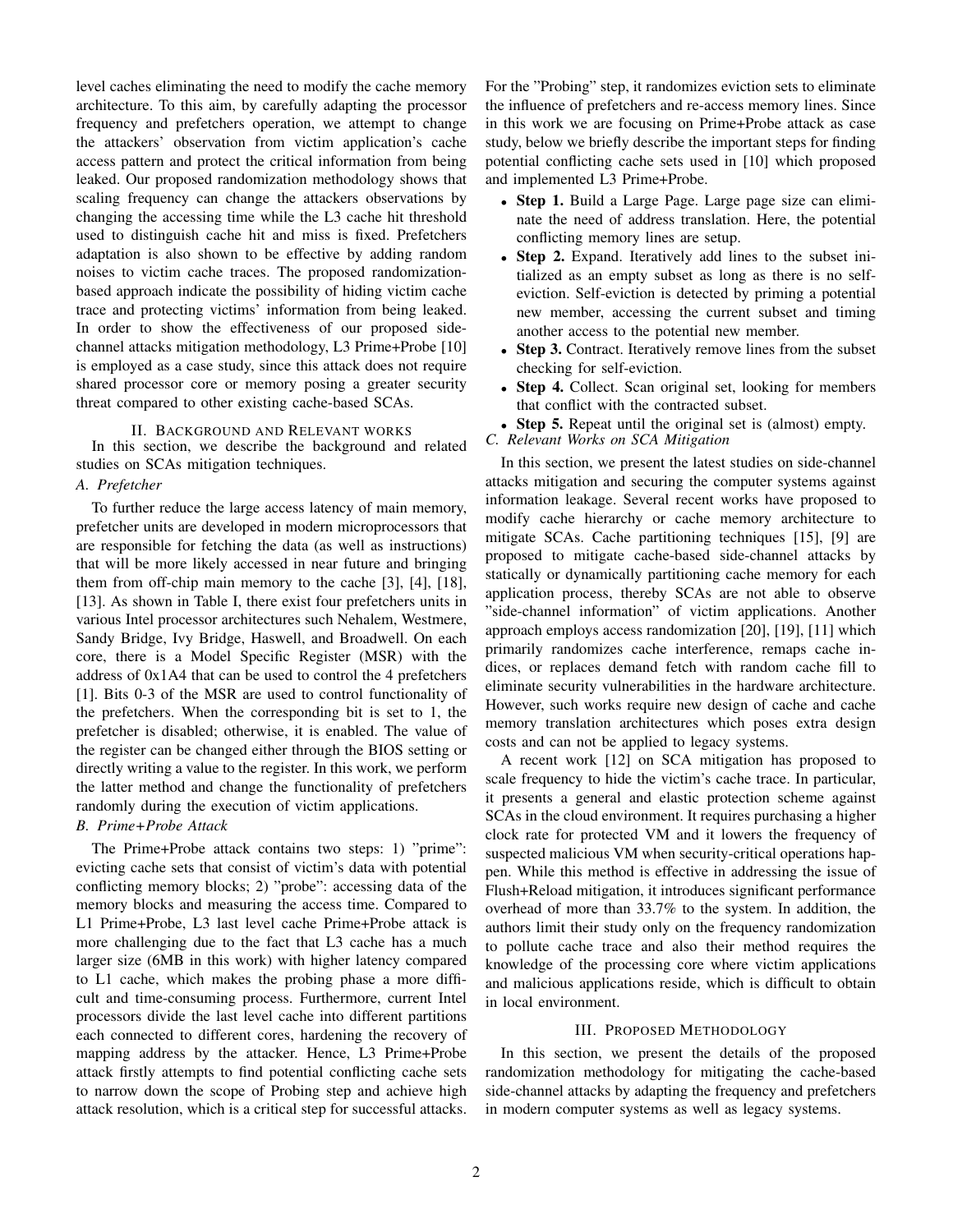level caches eliminating the need to modify the cache memory architecture. To this aim, by carefully adapting the processor frequency and prefetchers operation, we attempt to change the attackers' observation from victim application's cache access pattern and protect the critical information from being leaked. Our proposed randomization methodology shows that scaling frequency can change the attackers observations by changing the accessing time while the L3 cache hit threshold used to distinguish cache hit and miss is fixed. Prefetchers adaptation is also shown to be effective by adding random noises to victim cache traces. The proposed randomizationbased approach indicate the possibility of hiding victim cache trace and protecting victims' information from being leaked. In order to show the effectiveness of our proposed sidechannel attacks mitigation methodology, L3 Prime+Probe [10] is employed as a case study, since this attack does not require shared processor core or memory posing a greater security threat compared to other existing cache-based SCAs.

#### II. BACKGROUND AND RELEVANT WORKS

In this section, we describe the background and related studies on SCAs mitigation techniques.

# *A. Prefetcher*

To further reduce the large access latency of main memory, prefetcher units are developed in modern microprocessors that are responsible for fetching the data (as well as instructions) that will be more likely accessed in near future and bringing them from off-chip main memory to the cache [3], [4], [18], [13]. As shown in Table I, there exist four prefetchers units in various Intel processor architectures such Nehalem, Westmere, Sandy Bridge, Ivy Bridge, Haswell, and Broadwell. On each core, there is a Model Specific Register (MSR) with the address of 0x1A4 that can be used to control the 4 prefetchers [1]. Bits 0-3 of the MSR are used to control functionality of the prefetchers. When the corresponding bit is set to 1, the prefetcher is disabled; otherwise, it is enabled. The value of the register can be changed either through the BIOS setting or directly writing a value to the register. In this work, we perform the latter method and change the functionality of prefetchers randomly during the execution of victim applications.

# *B. Prime+Probe Attack*

The Prime+Probe attack contains two steps: 1) "prime": evicting cache sets that consist of victim's data with potential conflicting memory blocks; 2) "probe": accessing data of the memory blocks and measuring the access time. Compared to L1 Prime+Probe, L3 last level cache Prime+Probe attack is more challenging due to the fact that L3 cache has a much larger size (6MB in this work) with higher latency compared to L1 cache, which makes the probing phase a more difficult and time-consuming process. Furthermore, current Intel processors divide the last level cache into different partitions each connected to different cores, hardening the recovery of mapping address by the attacker. Hence, L3 Prime+Probe attack firstly attempts to find potential conflicting cache sets to narrow down the scope of Probing step and achieve high attack resolution, which is a critical step for successful attacks. For the "Probing" step, it randomizes eviction sets to eliminate the influence of prefetchers and re-access memory lines. Since in this work we are focusing on Prime+Probe attack as case study, below we briefly describe the important steps for finding potential conflicting cache sets used in [10] which proposed and implemented L3 Prime+Probe.

- Step 1. Build a Large Page. Large page size can eliminate the need of address translation. Here, the potential conflicting memory lines are setup.
- Step 2. Expand. Iteratively add lines to the subset initialized as an empty subset as long as there is no selfeviction. Self-eviction is detected by priming a potential new member, accessing the current subset and timing another access to the potential new member.
- Step 3. Contract. Iteratively remove lines from the subset checking for self-eviction.
- Step 4. Collect. Scan original set, looking for members that conflict with the contracted subset.
- Step 5. Repeat until the original set is (almost) empty.
- *C. Relevant Works on SCA Mitigation*

In this section, we present the latest studies on side-channel attacks mitigation and securing the computer systems against information leakage. Several recent works have proposed to modify cache hierarchy or cache memory architecture to mitigate SCAs. Cache partitioning techniques [15], [9] are proposed to mitigate cache-based side-channel attacks by statically or dynamically partitioning cache memory for each application process, thereby SCAs are not able to observe "side-channel information" of victim applications. Another approach employs access randomization [20], [19], [11] which primarily randomizes cache interference, remaps cache indices, or replaces demand fetch with random cache fill to eliminate security vulnerabilities in the hardware architecture. However, such works require new design of cache and cache memory translation architectures which poses extra design costs and can not be applied to legacy systems.

A recent work [12] on SCA mitigation has proposed to scale frequency to hide the victim's cache trace. In particular, it presents a general and elastic protection scheme against SCAs in the cloud environment. It requires purchasing a higher clock rate for protected VM and it lowers the frequency of suspected malicious VM when security-critical operations happen. While this method is effective in addressing the issue of Flush+Reload mitigation, it introduces significant performance overhead of more than 33.7% to the system. In addition, the authors limit their study only on the frequency randomization to pollute cache trace and also their method requires the knowledge of the processing core where victim applications and malicious applications reside, which is difficult to obtain in local environment.

# III. PROPOSED METHODOLOGY

In this section, we present the details of the proposed randomization methodology for mitigating the cache-based side-channel attacks by adapting the frequency and prefetchers in modern computer systems as well as legacy systems.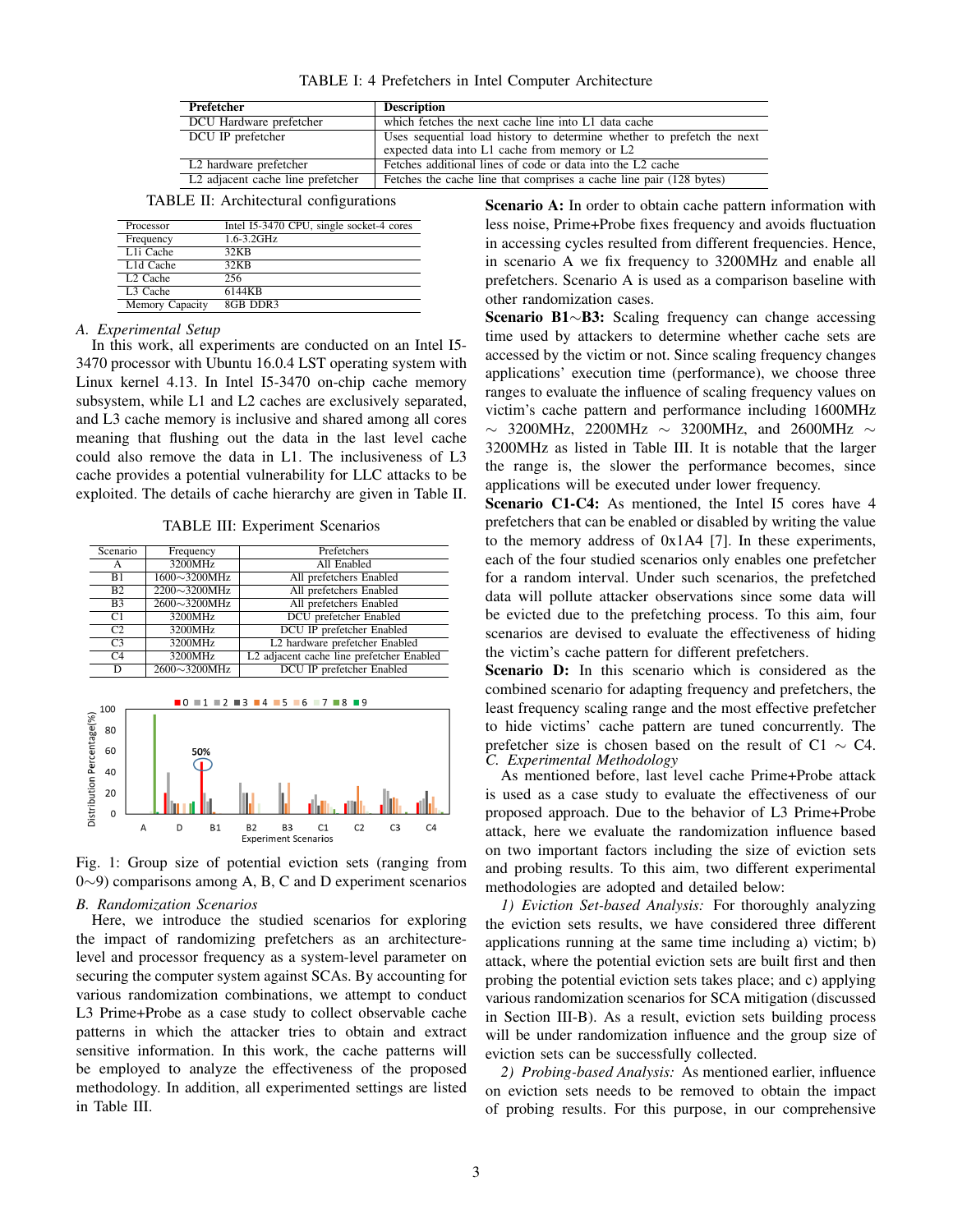| Prefetcher                                    | <b>Description</b>                                                     |  |
|-----------------------------------------------|------------------------------------------------------------------------|--|
| DCU Hardware prefetcher                       | which fetches the next cache line into L1 data cache                   |  |
| DCU IP prefetcher                             | Uses sequential load history to determine whether to prefetch the next |  |
|                                               | expected data into L1 cache from memory or L2                          |  |
| L2 hardware prefetcher                        | Fetches additional lines of code or data into the L2 cache             |  |
| L <sub>2</sub> adjacent cache line prefetcher | Fetches the cache line that comprises a cache line pair (128 bytes)    |  |

TABLE I: 4 Prefetchers in Intel Computer Architecture

TABLE II: Architectural configurations

| Processor            | Intel I5-3470 CPU, single socket-4 cores |
|----------------------|------------------------------------------|
| Frequency            | $1.6 - 3.2$ GHz                          |
| L1i Cache            | 32KB                                     |
| L1d Cache            | 32KR                                     |
| L <sub>2</sub> Cache | 256                                      |
| L <sub>3</sub> Cache | 6144KB                                   |
| Memory Capacity      | 8GB DDR3                                 |

### *A. Experimental Setup*

In this work, all experiments are conducted on an Intel I5- 3470 processor with Ubuntu 16.0.4 LST operating system with Linux kernel 4.13. In Intel I5-3470 on-chip cache memory subsystem, while L1 and L2 caches are exclusively separated, and L3 cache memory is inclusive and shared among all cores meaning that flushing out the data in the last level cache could also remove the data in L1. The inclusiveness of L3 cache provides a potential vulnerability for LLC attacks to be exploited. The details of cache hierarchy are given in Table II.

TABLE III: Experiment Scenarios

| Scenario       | Frequency            | Prefetchers                               |
|----------------|----------------------|-------------------------------------------|
| A              | 3200MHz              | All Enabled                               |
| B1             | $1600 \sim 3200$ MHz | All prefetchers Enabled                   |
| B <sub>2</sub> | 2200~3200MHz         | All prefetchers Enabled                   |
| B <sub>3</sub> | $2600 \sim 3200$ MHz | All prefetchers Enabled                   |
| C <sub>1</sub> | 3200MHz              | DCU prefetcher Enabled                    |
| C <sub>2</sub> | 3200MHz              | <b>DCU IP</b> prefetcher Enabled          |
| C <sub>3</sub> | 3200MHz              | L2 hardware prefetcher Enabled            |
| C <sub>4</sub> | 3200MHz              | L2 adjacent cache line prefetcher Enabled |
| D              | $2600 \sim 3200$ MHz | DCU IP prefetcher Enabled                 |



Fig. 1: Group size of potential eviction sets (ranging from 0∼9) comparisons among A, B, C and D experiment scenarios

# *B. Randomization Scenarios*

Here, we introduce the studied scenarios for exploring the impact of randomizing prefetchers as an architecturelevel and processor frequency as a system-level parameter on securing the computer system against SCAs. By accounting for various randomization combinations, we attempt to conduct L3 Prime+Probe as a case study to collect observable cache patterns in which the attacker tries to obtain and extract sensitive information. In this work, the cache patterns will be employed to analyze the effectiveness of the proposed methodology. In addition, all experimented settings are listed in Table III.

Scenario A: In order to obtain cache pattern information with less noise, Prime+Probe fixes frequency and avoids fluctuation in accessing cycles resulted from different frequencies. Hence, in scenario A we fix frequency to 3200MHz and enable all prefetchers. Scenario A is used as a comparison baseline with other randomization cases.

Scenario B1∼B3: Scaling frequency can change accessing time used by attackers to determine whether cache sets are accessed by the victim or not. Since scaling frequency changes applications' execution time (performance), we choose three ranges to evaluate the influence of scaling frequency values on victim's cache pattern and performance including 1600MHz  $\sim$  3200MHz, 2200MHz  $\sim$  3200MHz, and 2600MHz  $\sim$ 3200MHz as listed in Table III. It is notable that the larger the range is, the slower the performance becomes, since applications will be executed under lower frequency.

Scenario C1-C4: As mentioned, the Intel I5 cores have 4 prefetchers that can be enabled or disabled by writing the value to the memory address of 0x1A4 [7]. In these experiments, each of the four studied scenarios only enables one prefetcher for a random interval. Under such scenarios, the prefetched data will pollute attacker observations since some data will be evicted due to the prefetching process. To this aim, four scenarios are devised to evaluate the effectiveness of hiding the victim's cache pattern for different prefetchers.

Scenario D: In this scenario which is considered as the combined scenario for adapting frequency and prefetchers, the least frequency scaling range and the most effective prefetcher to hide victims' cache pattern are tuned concurrently. The prefetcher size is chosen based on the result of C1 ∼ C4. *C. Experimental Methodology*

As mentioned before, last level cache Prime+Probe attack is used as a case study to evaluate the effectiveness of our proposed approach. Due to the behavior of L3 Prime+Probe attack, here we evaluate the randomization influence based on two important factors including the size of eviction sets and probing results. To this aim, two different experimental methodologies are adopted and detailed below:

*1) Eviction Set-based Analysis:* For thoroughly analyzing the eviction sets results, we have considered three different applications running at the same time including a) victim; b) attack, where the potential eviction sets are built first and then probing the potential eviction sets takes place; and c) applying various randomization scenarios for SCA mitigation (discussed in Section III-B). As a result, eviction sets building process will be under randomization influence and the group size of eviction sets can be successfully collected.

*2) Probing-based Analysis:* As mentioned earlier, influence on eviction sets needs to be removed to obtain the impact of probing results. For this purpose, in our comprehensive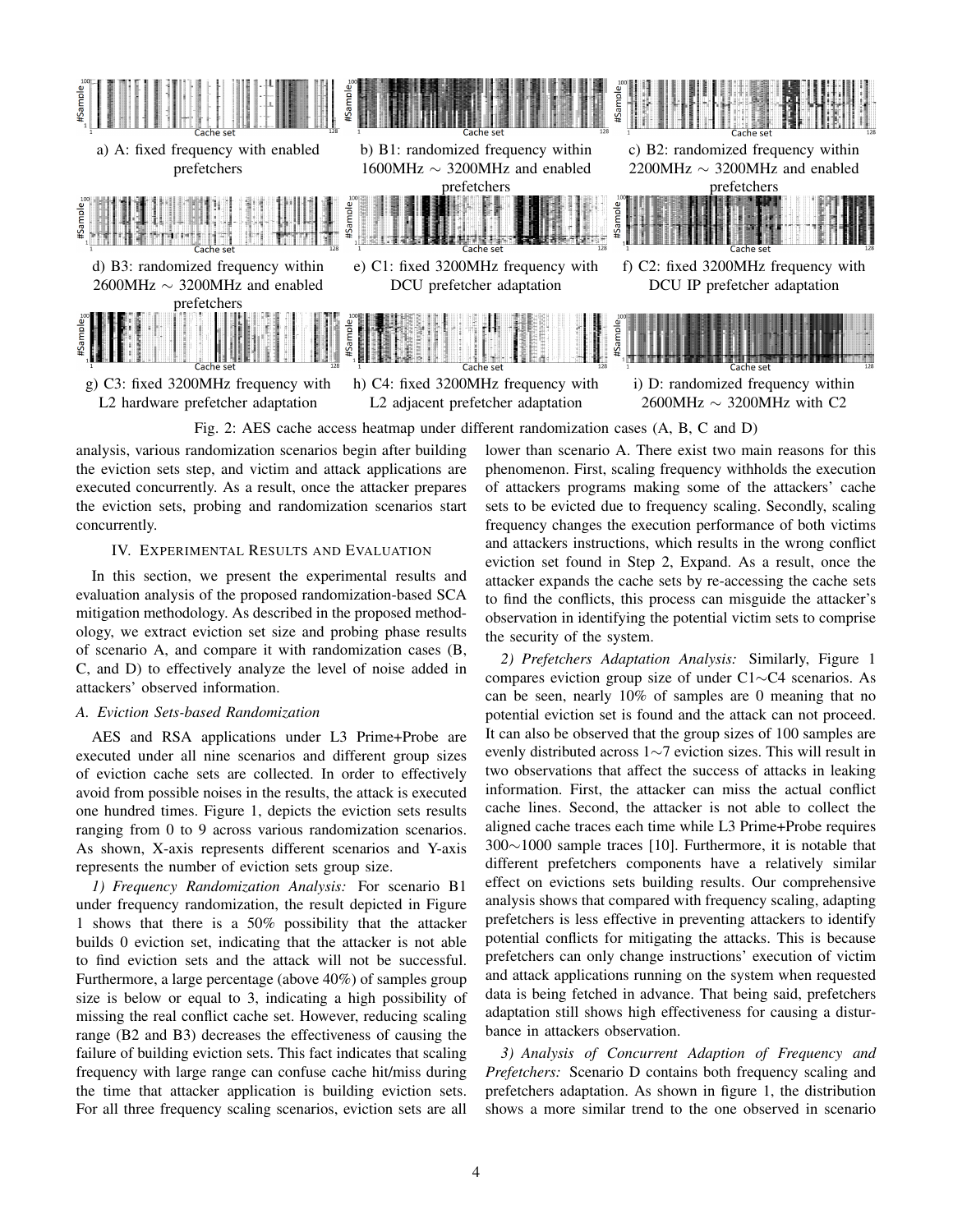

g) C3: fixed 3200MHz frequency with L2 hardware prefetcher adaptation

h) C4: fixed 3200MHz frequency with L2 adjacent prefetcher adaptation

i) D: randomized frequency within 2600MHz ∼ 3200MHz with C2

Fig. 2: AES cache access heatmap under different randomization cases (A, B, C and D)

analysis, various randomization scenarios begin after building the eviction sets step, and victim and attack applications are executed concurrently. As a result, once the attacker prepares the eviction sets, probing and randomization scenarios start concurrently.

### IV. EXPERIMENTAL RESULTS AND EVALUATION

In this section, we present the experimental results and evaluation analysis of the proposed randomization-based SCA mitigation methodology. As described in the proposed methodology, we extract eviction set size and probing phase results of scenario A, and compare it with randomization cases (B, C, and D) to effectively analyze the level of noise added in attackers' observed information.

#### *A. Eviction Sets-based Randomization*

AES and RSA applications under L3 Prime+Probe are executed under all nine scenarios and different group sizes of eviction cache sets are collected. In order to effectively avoid from possible noises in the results, the attack is executed one hundred times. Figure 1, depicts the eviction sets results ranging from 0 to 9 across various randomization scenarios. As shown, X-axis represents different scenarios and Y-axis represents the number of eviction sets group size.

*1) Frequency Randomization Analysis:* For scenario B1 under frequency randomization, the result depicted in Figure 1 shows that there is a 50% possibility that the attacker builds 0 eviction set, indicating that the attacker is not able to find eviction sets and the attack will not be successful. Furthermore, a large percentage (above 40%) of samples group size is below or equal to 3, indicating a high possibility of missing the real conflict cache set. However, reducing scaling range (B2 and B3) decreases the effectiveness of causing the failure of building eviction sets. This fact indicates that scaling frequency with large range can confuse cache hit/miss during the time that attacker application is building eviction sets. For all three frequency scaling scenarios, eviction sets are all lower than scenario A. There exist two main reasons for this phenomenon. First, scaling frequency withholds the execution of attackers programs making some of the attackers' cache sets to be evicted due to frequency scaling. Secondly, scaling frequency changes the execution performance of both victims and attackers instructions, which results in the wrong conflict eviction set found in Step 2, Expand. As a result, once the attacker expands the cache sets by re-accessing the cache sets to find the conflicts, this process can misguide the attacker's observation in identifying the potential victim sets to comprise the security of the system.

*2) Prefetchers Adaptation Analysis:* Similarly, Figure 1 compares eviction group size of under C1∼C4 scenarios. As can be seen, nearly 10% of samples are 0 meaning that no potential eviction set is found and the attack can not proceed. It can also be observed that the group sizes of 100 samples are evenly distributed across 1∼7 eviction sizes. This will result in two observations that affect the success of attacks in leaking information. First, the attacker can miss the actual conflict cache lines. Second, the attacker is not able to collect the aligned cache traces each time while L3 Prime+Probe requires 300∼1000 sample traces [10]. Furthermore, it is notable that different prefetchers components have a relatively similar effect on evictions sets building results. Our comprehensive analysis shows that compared with frequency scaling, adapting prefetchers is less effective in preventing attackers to identify potential conflicts for mitigating the attacks. This is because prefetchers can only change instructions' execution of victim and attack applications running on the system when requested data is being fetched in advance. That being said, prefetchers adaptation still shows high effectiveness for causing a disturbance in attackers observation.

*3) Analysis of Concurrent Adaption of Frequency and Prefetchers:* Scenario D contains both frequency scaling and prefetchers adaptation. As shown in figure 1, the distribution shows a more similar trend to the one observed in scenario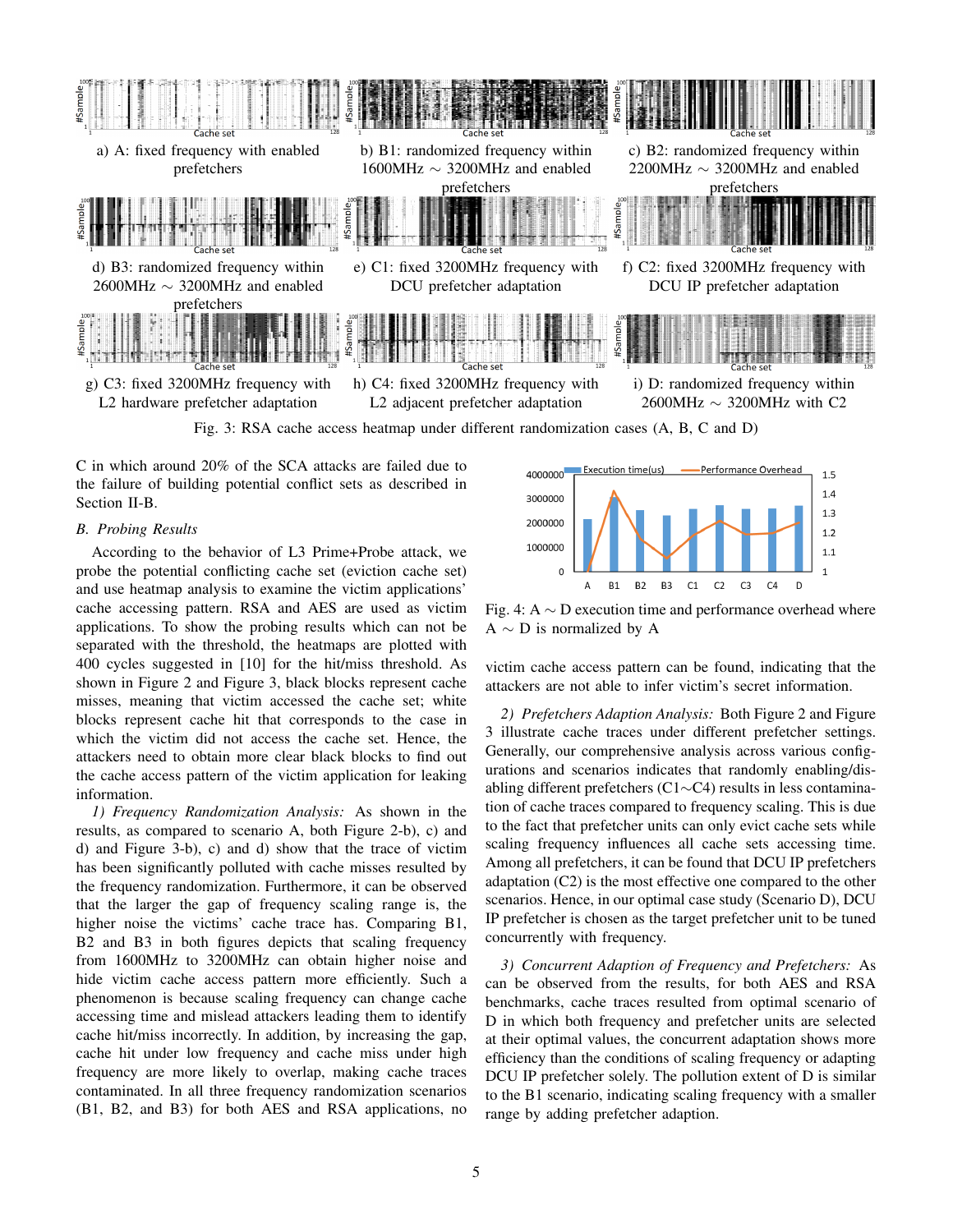

Fig. 3: RSA cache access heatmap under different randomization cases (A, B, C and D)

C in which around 20% of the SCA attacks are failed due to the failure of building potential conflict sets as described in Section II-B.

## *B. Probing Results*

According to the behavior of L3 Prime+Probe attack, we probe the potential conflicting cache set (eviction cache set) and use heatmap analysis to examine the victim applications' cache accessing pattern. RSA and AES are used as victim applications. To show the probing results which can not be separated with the threshold, the heatmaps are plotted with 400 cycles suggested in [10] for the hit/miss threshold. As shown in Figure 2 and Figure 3, black blocks represent cache misses, meaning that victim accessed the cache set; white blocks represent cache hit that corresponds to the case in which the victim did not access the cache set. Hence, the attackers need to obtain more clear black blocks to find out the cache access pattern of the victim application for leaking information.

*1) Frequency Randomization Analysis:* As shown in the results, as compared to scenario A, both Figure 2-b), c) and d) and Figure 3-b), c) and d) show that the trace of victim has been significantly polluted with cache misses resulted by the frequency randomization. Furthermore, it can be observed that the larger the gap of frequency scaling range is, the higher noise the victims' cache trace has. Comparing B1, B2 and B3 in both figures depicts that scaling frequency from 1600MHz to 3200MHz can obtain higher noise and hide victim cache access pattern more efficiently. Such a phenomenon is because scaling frequency can change cache accessing time and mislead attackers leading them to identify cache hit/miss incorrectly. In addition, by increasing the gap, cache hit under low frequency and cache miss under high frequency are more likely to overlap, making cache traces contaminated. In all three frequency randomization scenarios (B1, B2, and B3) for both AES and RSA applications, no



Fig. 4: A  $\sim$  D execution time and performance overhead where  $A \sim D$  is normalized by A

victim cache access pattern can be found, indicating that the attackers are not able to infer victim's secret information.

*2) Prefetchers Adaption Analysis:* Both Figure 2 and Figure 3 illustrate cache traces under different prefetcher settings. Generally, our comprehensive analysis across various configurations and scenarios indicates that randomly enabling/disabling different prefetchers (C1∼C4) results in less contamination of cache traces compared to frequency scaling. This is due to the fact that prefetcher units can only evict cache sets while scaling frequency influences all cache sets accessing time. Among all prefetchers, it can be found that DCU IP prefetchers adaptation (C2) is the most effective one compared to the other scenarios. Hence, in our optimal case study (Scenario D), DCU IP prefetcher is chosen as the target prefetcher unit to be tuned concurrently with frequency.

*3) Concurrent Adaption of Frequency and Prefetchers:* As can be observed from the results, for both AES and RSA benchmarks, cache traces resulted from optimal scenario of D in which both frequency and prefetcher units are selected at their optimal values, the concurrent adaptation shows more efficiency than the conditions of scaling frequency or adapting DCU IP prefetcher solely. The pollution extent of D is similar to the B1 scenario, indicating scaling frequency with a smaller range by adding prefetcher adaption.